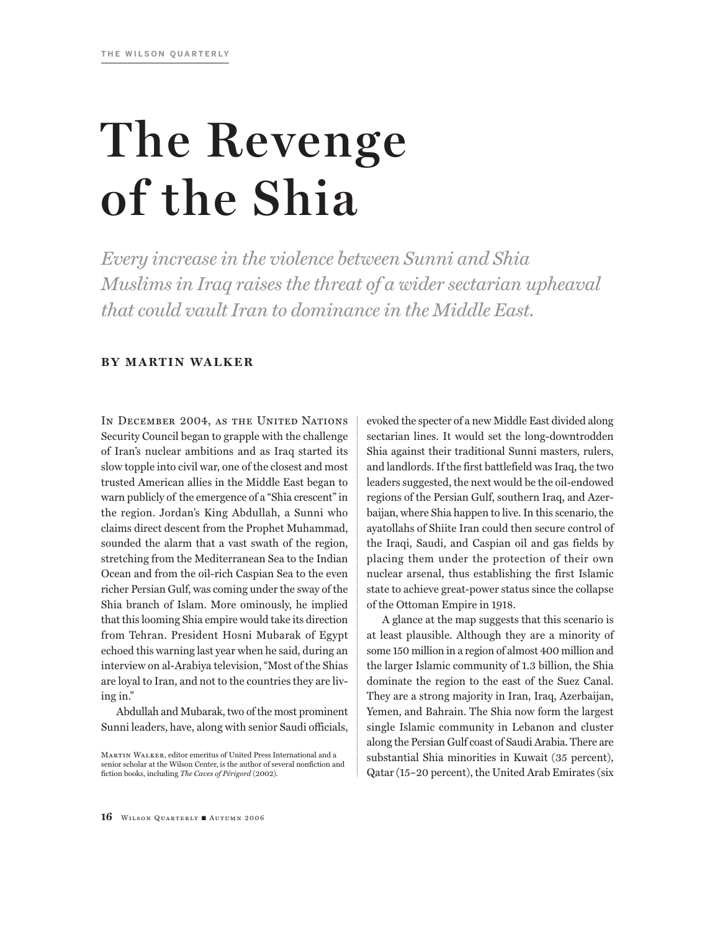## **The Revenge of the Shia**

*Every increase in the violence between Sunni and Shia Muslims in Iraq raises the threat of a wider sectarian upheaval that could vault Iran to dominance in the Middle East.*

## **BY MARTIN WALKER**

In December 2004, as the United Nations Security Council began to grapple with the challenge of Iran's nuclear ambitions and as Iraq started its slow topple into civil war, one of the closest and most trusted American allies in the Middle East began to warn publicly of the emergence of a "Shia crescent" in the region. Jordan's King Abdullah, a Sunni who claims direct descent from the Prophet Muhammad, sounded the alarm that a vast swath of the region, stretching from the Mediterranean Sea to the Indian Ocean and from the oil-rich Caspian Sea to the even richer Persian Gulf, was coming under the sway of the Shia branch of Islam. More ominously, he implied that this looming Shia empire would take its direction from Tehran. President Hosni Mubarak of Egypt echoed this warning last year when he said, during an interview on al-Arabiya television, "Most of the Shias are loyal to Iran, and not to the countries they are living in."

Abdullah and Mubarak, two of the most prominent Sunni leaders, have, along with senior Saudi officials,

evoked the specter of a new Middle East divided along sectarian lines. It would set the long-downtrodden Shia against their traditional Sunni masters, rulers, and landlords. If the first battlefield was Iraq, the two leaders suggested, the next would be the oil-endowed regions of the Persian Gulf, southern Iraq, and Azerbaijan, where Shia happen to live. In this scenario, the ayatollahs of Shiite Iran could then secure control of the Iraqi, Saudi, and Caspian oil and gas fields by placing them under the protection of their own nuclear arsenal, thus establishing the first Islamic state to achieve great-power status since the collapse of the Ottoman Empire in 1918.

A glance at the map suggests that this scenario is at least plausible. Although they are a minority of some 150 million in a region of almost 400 million and the larger Islamic community of 1.3 billion, the Shia dominate the region to the east of the Suez Canal. They are a strong majority in Iran, Iraq, Azerbaijan, Yemen, and Bahrain. The Shia now form the largest single Islamic community in Lebanon and cluster along the Persian Gulf coast of Saudi Arabia. There are substantial Shia minorities in Kuwait (35 percent), Qatar (15–20 percent), the United Arab Emirates (six

Martin Walker, editor emeritus of United Press International and a senior scholar at the Wilson Center, is the author of several nonfiction and fiction books, including *The Caves of Périgord* (2002).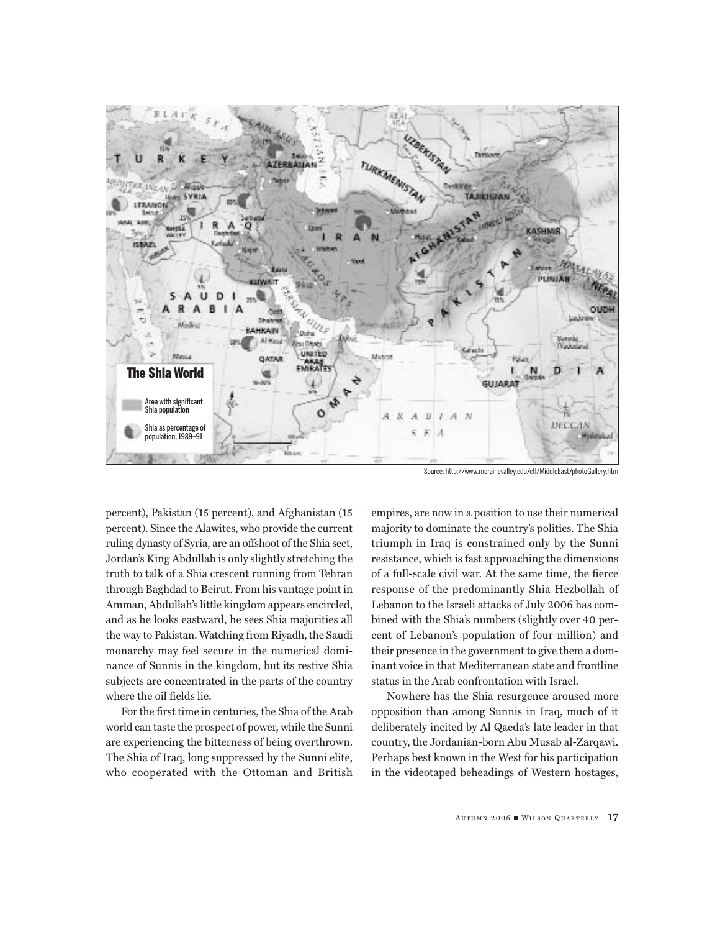

Source: http://www.morainevalley.edu/ctl/MiddleEast/photoGallery.htm

percent), Pakistan (15 percent), and Afghanistan (15 percent). Since the Alawites, who provide the current ruling dynasty of Syria, are an offshoot of the Shia sect, Jordan's King Abdullah is only slightly stretching the truth to talk of a Shia crescent running from Tehran through Baghdad to Beirut. From his vantage point in Amman, Abdullah's little kingdom appears encircled, and as he looks eastward, he sees Shia majorities all the way to Pakistan. Watching from Riyadh, the Saudi monarchy may feel secure in the numerical dominance of Sunnis in the kingdom, but its restive Shia subjects are concentrated in the parts of the country where the oil fields lie.

For the first time in centuries, the Shia of the Arab world can taste the prospect of power, while the Sunni are experiencing the bitterness of being overthrown. The Shia of Iraq, long suppressed by the Sunni elite, who cooperated with the Ottoman and British

empires, are now in a position to use their numerical majority to dominate the country's politics. The Shia triumph in Iraq is constrained only by the Sunni resistance, which is fast approaching the dimensions of a full-scale civil war. At the same time, the fierce response of the predominantly Shia Hezbollah of Lebanon to the Israeli attacks of July 2006 has combined with the Shia's numbers (slightly over 40 percent of Lebanon's population of four million) and their presence in the government to give them a dominant voice in that Mediterranean state and frontline status in the Arab confrontation with Israel.

Nowhere has the Shia resurgence aroused more opposition than among Sunnis in Iraq, much of it deliberately incited by Al Qaeda's late leader in that country, the Jordanian-born Abu Musab al-Zarqawi. Perhaps best known in the West for his participation in the videotaped beheadings of Western hostages,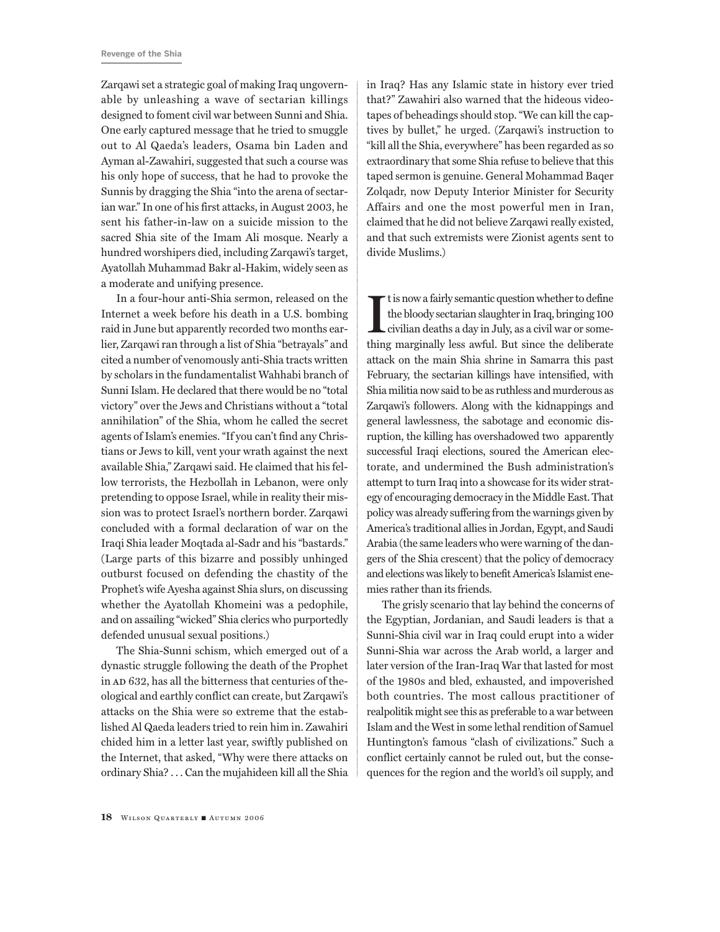Zarqawi set a strategic goal of making Iraq ungovernable by unleashing a wave of sectarian killings designed to foment civil war between Sunni and Shia. One early captured message that he tried to smuggle out to Al Qaeda's leaders, Osama bin Laden and Ayman al-Zawahiri, suggested that such a course was his only hope of success, that he had to provoke the Sunnis by dragging the Shia "into the arena of sectarian war." In one of his first attacks, in August 2003, he sent his father-in-law on a suicide mission to the sacred Shia site of the Imam Ali mosque. Nearly a hundred worshipers died, including Zarqawi's target, Ayatollah Muhammad Bakr al-Hakim, widely seen as a moderate and unifying presence.

In a four-hour anti-Shia sermon, released on the Internet a week before his death in a U.S. bombing raid in June but apparently recorded two months earlier, Zarqawi ran through a list of Shia "betrayals" and cited a number of venomously anti-Shia tracts written by scholars in the fundamentalist Wahhabi branch of Sunni Islam. He declared that there would be no "total victory" over the Jews and Christians without a "total annihilation" of the Shia, whom he called the secret agents of Islam's enemies. "If you can't find any Christians or Jews to kill, vent your wrath against the next available Shia," Zarqawi said. He claimed that his fellow terrorists, the Hezbollah in Lebanon, were only pretending to oppose Israel, while in reality their mission was to protect Israel's northern border. Zarqawi concluded with a formal declaration of war on the Iraqi Shia leader Moqtada al-Sadr and his "bastards." (Large parts of this bizarre and possibly unhinged outburst focused on defending the chastity of the Prophet's wife Ayesha against Shia slurs, on discussing whether the Ayatollah Khomeini was a pedophile, and on assailing "wicked" Shia clerics who purportedly defended unusual sexual positions.)

The Shia-Sunni schism, which emerged out of a dynastic struggle following the death of the Prophet in AD 632, has all the bitterness that centuries of theological and earthly conflict can create, but Zarqawi's attacks on the Shia were so extreme that the established Al Qaeda leaders tried to rein him in. Zawahiri chided him in a letter last year, swiftly published on the Internet, that asked, "Why were there attacks on ordinary Shia? . . . Can the mujahideen kill all the Shia in Iraq? Has any Islamic state in history ever tried that?" Zawahiri also warned that the hideous videotapes of beheadings should stop. "We can kill the captives by bullet," he urged. (Zarqawi's instruction to "kill all the Shia, everywhere" has been regarded as so extraordinary that some Shia refuse to believe that this taped sermon is genuine. General Mohammad Baqer Zolqadr, now Deputy Interior Minister for Security Affairs and one the most powerful men in Iran, claimed that he did not believe Zarqawi really existed, and that such extremists were Zionist agents sent to divide Muslims.)

It is now a fairly semantic question whether to define the bloody sectarian slaughter in Iraq, bringing 100 civilian deaths a day in July, as a civil war or something marginally less awful. But since the deliberate t is now a fairly semantic question whether to define the bloody sectarian slaughter in Iraq, bringing 100 civilian deaths a day in July, as a civil war or someattack on the main Shia shrine in Samarra this past February, the sectarian killings have intensified, with Shia militia now said to be as ruthless and murderous as Zarqawi's followers. Along with the kidnappings and general lawlessness, the sabotage and economic disruption, the killing has overshadowed two apparently successful Iraqi elections, soured the American electorate, and undermined the Bush administration's attempt to turn Iraq into a showcase for its wider strategy of encouraging democracy in the Middle East. That policy was already suffering from the warnings given by America's traditional allies in Jordan, Egypt, and Saudi Arabia (the same leaders who were warning of the dangers of the Shia crescent) that the policy of democracy and elections was likely to benefit America's Islamist enemies rather than its friends.

The grisly scenario that lay behind the concerns of the Egyptian, Jordanian, and Saudi leaders is that a Sunni-Shia civil war in Iraq could erupt into a wider Sunni-Shia war across the Arab world, a larger and later version of the Iran-Iraq War that lasted for most of the 1980s and bled, exhausted, and impoverished both countries. The most callous practitioner of realpolitik might see this as preferable to a war between Islam and the West in some lethal rendition of Samuel Huntington's famous "clash of civilizations." Such a conflict certainly cannot be ruled out, but the consequences for the region and the world's oil supply, and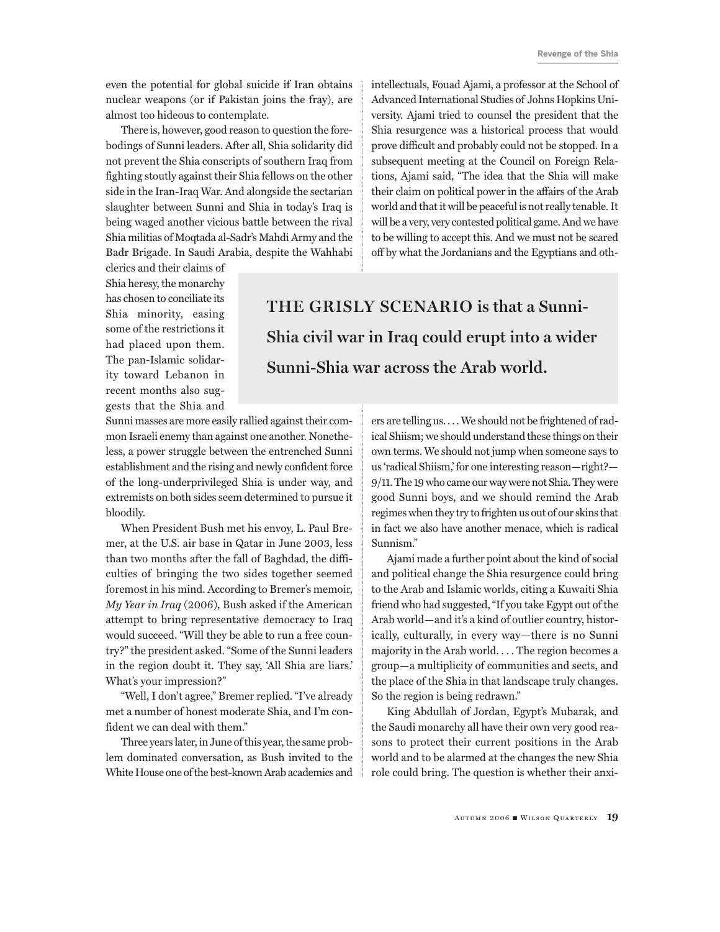even the potential for global suicide if Iran obtains nuclear weapons (or if Pakistan joins the fray), are almost too hideous to contemplate.

There is, however, good reason to question the forebodings of Sunni leaders. After all, Shia solidarity did not prevent the Shia conscripts of southern Iraq from fighting stoutly against their Shia fellows on the other side in the Iran-Iraq War. And alongside the sectarian slaughter between Sunni and Shia in today's Iraq is being waged another vicious battle between the rival Shia militias of Moqtada al-Sadr's Mahdi Army and the Badr Brigade. In Saudi Arabia, despite the Wahhabi

clerics and their claims of Shia heresy, the monarchy has chosen to conciliate its Shia minority, easing some of the restrictions it had placed upon them. The pan-Islamic solidarity toward Lebanon in recent months also suggests that the Shia and

## **THE GRISLY SCENARIO is that a Sunni-Shia civil war in Iraq could erupt into a wider Sunni-Shia war across the Arab world.**

Sunni masses are more easily rallied against their common Israeli enemy than against one another. Nonetheless, a power struggle between the entrenched Sunni establishment and the rising and newly confident force of the long-underprivileged Shia is under way, and extremists on both sides seem determined to pursue it bloodily.

When President Bush met his envoy, L. Paul Bremer, at the U.S. air base in Qatar in June 2003, less than two months after the fall of Baghdad, the difficulties of bringing the two sides together seemed foremost in his mind. According to Bremer's memoir, *My Year in Iraq* (2006), Bush asked if the American attempt to bring representative democracy to Iraq would succeed. "Will they be able to run a free country?" the president asked. "Some of the Sunni leaders in the region doubt it. They say, 'All Shia are liars.' What's your impression?"

"Well, I don't agree," Bremer replied. "I've already met a number of honest moderate Shia, and I'm confident we can deal with them."

Three years later, in June of this year, the same problem dominated conversation, as Bush invited to the White House one of the best-known Arab academics and ers are telling us. . . . We should not be frightened of radical Shiism; we should understand these things on their own terms. We should not jump when someone says to us 'radical Shiism,' for one interesting reason—right?— 9/11. The 19 who came our way were not Shia. They were good Sunni boys, and we should remind the Arab regimes when they try to frighten us out of our skins that in fact we also have another menace, which is radical Sunnism."

Ajami made a further point about the kind of social and political change the Shia resurgence could bring to the Arab and Islamic worlds, citing a Kuwaiti Shia friend who had suggested, "If you take Egypt out of the Arab world—and it's a kind of outlier country, historically, culturally, in every way—there is no Sunni majority in the Arab world. . . . The region becomes a group—a multiplicity of communities and sects, and the place of the Shia in that landscape truly changes. So the region is being redrawn."

King Abdullah of Jordan, Egypt's Mubarak, and the Saudi monarchy all have their own very good reasons to protect their current positions in the Arab world and to be alarmed at the changes the new Shia role could bring. The question is whether their anxi-

intellectuals, Fouad Ajami, a professor at the School of Advanced International Studies of Johns Hopkins University. Ajami tried to counsel the president that the Shia resurgence was a historical process that would prove difficult and probably could not be stopped. In a subsequent meeting at the Council on Foreign Relations, Ajami said, "The idea that the Shia will make their claim on political power in the affairs of the Arab world and that it will be peaceful is not really tenable. It will be a very, very contested political game. And we have to be willing to accept this. And we must not be scared off by what the Jordanians and the Egyptians and oth